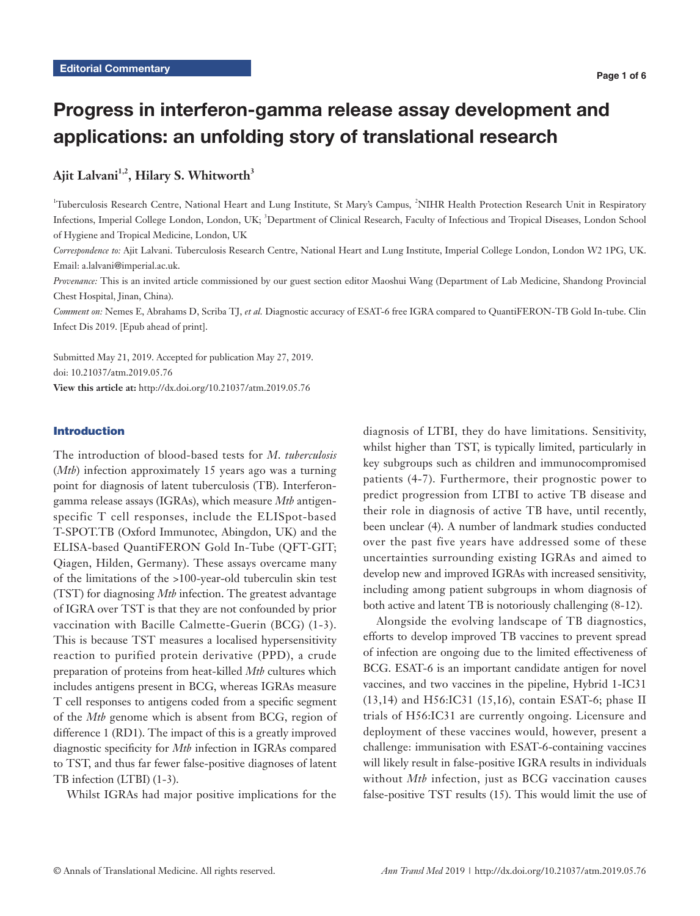# Progress in interferon-gamma release assay development and applications: an unfolding story of translational research

# Ajit Lalvani<sup>1,2</sup>, Hilary S. Whitworth<sup>3</sup>

<sup>1</sup>Tuberculosis Research Centre, National Heart and Lung Institute, St Mary's Campus, <sup>2</sup>NIHR Health Protection Research Unit in Respiratory Infections, Imperial College London, London, UK; <sup>3</sup>Department of Clinical Research, Faculty of Infectious and Tropical Diseases, London School of Hygiene and Tropical Medicine, London, UK

*Correspondence to:* Ajit Lalvani. Tuberculosis Research Centre, National Heart and Lung Institute, Imperial College London, London W2 1PG, UK. Email: a.lalvani@imperial.ac.uk.

*Provenance:* This is an invited article commissioned by our guest section editor Maoshui Wang (Department of Lab Medicine, Shandong Provincial Chest Hospital, Jinan, China).

*Comment on:* Nemes E, Abrahams D, Scriba TJ, *et al.* Diagnostic accuracy of ESAT-6 free IGRA compared to QuantiFERON-TB Gold In-tube. Clin Infect Dis 2019. [Epub ahead of print].

Submitted May 21, 2019. Accepted for publication May 27, 2019. doi: 10.21037/atm.2019.05.76

**View this article at:** http://dx.doi.org/10.21037/atm.2019.05.76

# Introduction

The introduction of blood-based tests for *M*. *tuberculosis* (*Mtb*) infection approximately 15 years ago was a turning point for diagnosis of latent tuberculosis (TB). Interferongamma release assays (IGRAs), which measure *Mtb* antigenspecific T cell responses, include the ELISpot-based T-SPOT.TB (Oxford Immunotec, Abingdon, UK) and the ELISA-based QuantiFERON Gold In-Tube (QFT-GIT; Qiagen, Hilden, Germany). These assays overcame many of the limitations of the >100-year-old tuberculin skin test (TST) for diagnosing *Mtb* infection. The greatest advantage of IGRA over TST is that they are not confounded by prior vaccination with Bacille Calmette-Guerin (BCG) (1-3). This is because TST measures a localised hypersensitivity reaction to purified protein derivative (PPD), a crude preparation of proteins from heat-killed *Mtb* cultures which includes antigens present in BCG, whereas IGRAs measure T cell responses to antigens coded from a specific segment of the *Mtb* genome which is absent from BCG, region of difference 1 (RD1). The impact of this is a greatly improved diagnostic specificity for *Mtb* infection in IGRAs compared to TST, and thus far fewer false-positive diagnoses of latent TB infection (LTBI) (1-3).

Whilst IGRAs had major positive implications for the

diagnosis of LTBI, they do have limitations. Sensitivity, whilst higher than TST, is typically limited, particularly in key subgroups such as children and immunocompromised patients (4-7). Furthermore, their prognostic power to predict progression from LTBI to active TB disease and their role in diagnosis of active TB have, until recently, been unclear (4). A number of landmark studies conducted over the past five years have addressed some of these uncertainties surrounding existing IGRAs and aimed to develop new and improved IGRAs with increased sensitivity, including among patient subgroups in whom diagnosis of both active and latent TB is notoriously challenging (8-12).

Alongside the evolving landscape of TB diagnostics, efforts to develop improved TB vaccines to prevent spread of infection are ongoing due to the limited effectiveness of BCG. ESAT-6 is an important candidate antigen for novel vaccines, and two vaccines in the pipeline, Hybrid 1-IC31 (13,14) and H56:IC31 (15,16), contain ESAT-6; phase II trials of H56:IC31 are currently ongoing. Licensure and deployment of these vaccines would, however, present a challenge: immunisation with ESAT-6-containing vaccines will likely result in false-positive IGRA results in individuals without *Mtb* infection, just as BCG vaccination causes false-positive TST results (15). This would limit the use of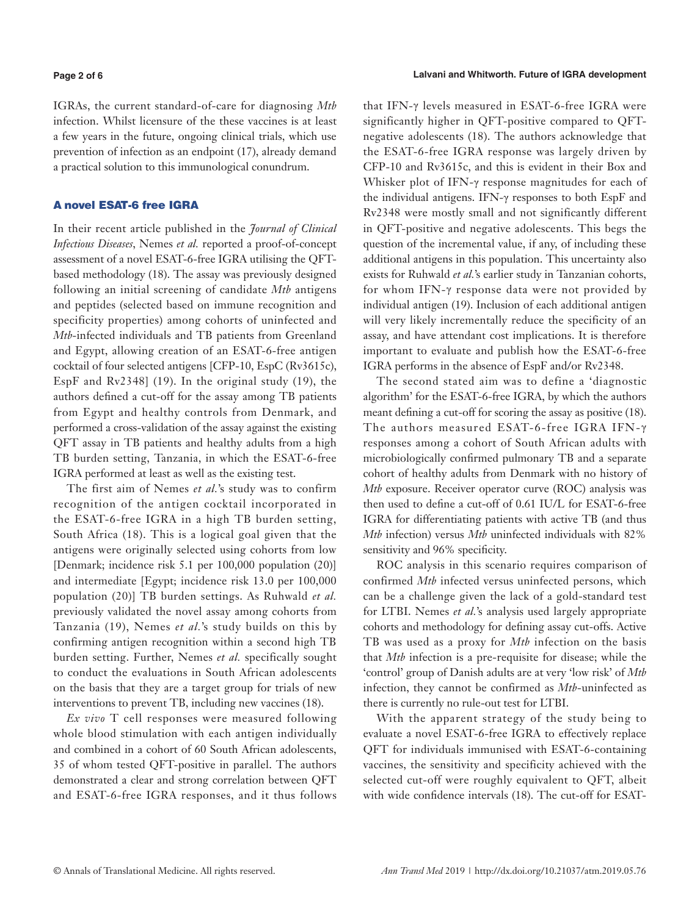#### **Page 2 of 6**

IGRAs, the current standard-of-care for diagnosing *Mtb* infection. Whilst licensure of the these vaccines is at least a few years in the future, ongoing clinical trials, which use prevention of infection as an endpoint (17), already demand a practical solution to this immunological conundrum.

#### A novel ESAT-6 free IGRA

In their recent article published in the *Journal of Clinical Infectious Diseases*, Nemes *et al.* reported a proof-of-concept assessment of a novel ESAT-6-free IGRA utilising the QFTbased methodology (18). The assay was previously designed following an initial screening of candidate *Mtb* antigens and peptides (selected based on immune recognition and specificity properties) among cohorts of uninfected and *Mtb*-infected individuals and TB patients from Greenland and Egypt, allowing creation of an ESAT-6-free antigen cocktail of four selected antigens [CFP-10, EspC (Rv3615c), EspF and Rv2348] (19). In the original study (19), the authors defined a cut-off for the assay among TB patients from Egypt and healthy controls from Denmark, and performed a cross-validation of the assay against the existing QFT assay in TB patients and healthy adults from a high TB burden setting, Tanzania, in which the ESAT-6-free IGRA performed at least as well as the existing test.

The first aim of Nemes *et al.*'s study was to confirm recognition of the antigen cocktail incorporated in the ESAT-6-free IGRA in a high TB burden setting, South Africa (18). This is a logical goal given that the antigens were originally selected using cohorts from low [Denmark; incidence risk 5.1 per 100,000 population (20)] and intermediate [Egypt; incidence risk 13.0 per 100,000 population (20)] TB burden settings. As Ruhwald *et al.* previously validated the novel assay among cohorts from Tanzania (19), Nemes *et al.*'s study builds on this by confirming antigen recognition within a second high TB burden setting. Further, Nemes *et al.* specifically sought to conduct the evaluations in South African adolescents on the basis that they are a target group for trials of new interventions to prevent TB, including new vaccines (18).

*Ex vivo* T cell responses were measured following whole blood stimulation with each antigen individually and combined in a cohort of 60 South African adolescents, 35 of whom tested QFT-positive in parallel. The authors demonstrated a clear and strong correlation between QFT and ESAT-6-free IGRA responses, and it thus follows

that IFN-γ levels measured in ESAT-6-free IGRA were significantly higher in QFT-positive compared to QFTnegative adolescents (18). The authors acknowledge that the ESAT-6-free IGRA response was largely driven by CFP-10 and Rv3615c, and this is evident in their Box and Whisker plot of IFN-γ response magnitudes for each of the individual antigens. IFN-γ responses to both EspF and Rv2348 were mostly small and not significantly different in QFT-positive and negative adolescents. This begs the question of the incremental value, if any, of including these additional antigens in this population. This uncertainty also exists for Ruhwald *et al.*'s earlier study in Tanzanian cohorts, for whom IFN-γ response data were not provided by individual antigen (19). Inclusion of each additional antigen will very likely incrementally reduce the specificity of an assay, and have attendant cost implications. It is therefore important to evaluate and publish how the ESAT-6-free IGRA performs in the absence of EspF and/or Rv2348.

The second stated aim was to define a 'diagnostic algorithm' for the ESAT-6-free IGRA, by which the authors meant defining a cut-off for scoring the assay as positive (18). The authors measured ESAT-6-free IGRA IFN-γ responses among a cohort of South African adults with microbiologically confirmed pulmonary TB and a separate cohort of healthy adults from Denmark with no history of *Mtb* exposure. Receiver operator curve (ROC) analysis was then used to define a cut-off of 0.61 IU/L for ESAT-6-free IGRA for differentiating patients with active TB (and thus *Mtb* infection) versus *Mtb* uninfected individuals with 82% sensitivity and 96% specificity.

ROC analysis in this scenario requires comparison of confirmed *Mtb* infected versus uninfected persons, which can be a challenge given the lack of a gold-standard test for LTBI. Nemes *et al.*'s analysis used largely appropriate cohorts and methodology for defining assay cut-offs. Active TB was used as a proxy for *Mtb* infection on the basis that *Mtb* infection is a pre-requisite for disease; while the 'control' group of Danish adults are at very 'low risk' of *Mtb* infection, they cannot be confirmed as *Mtb*-uninfected as there is currently no rule-out test for LTBI.

With the apparent strategy of the study being to evaluate a novel ESAT-6-free IGRA to effectively replace QFT for individuals immunised with ESAT-6-containing vaccines, the sensitivity and specificity achieved with the selected cut-off were roughly equivalent to QFT, albeit with wide confidence intervals (18). The cut-off for ESAT-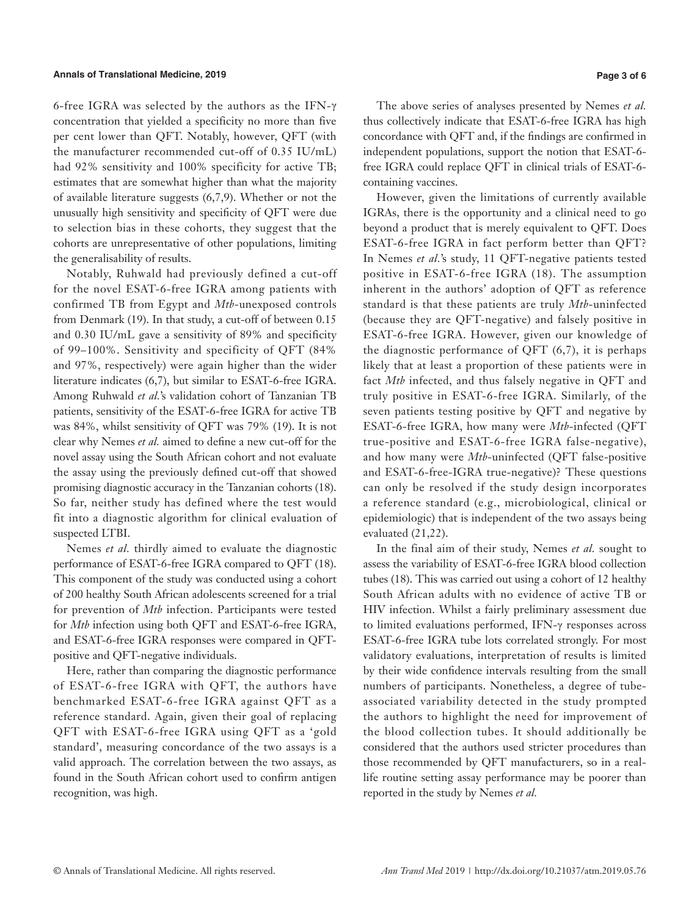6-free IGRA was selected by the authors as the IFN-γ concentration that yielded a specificity no more than five per cent lower than QFT. Notably, however, QFT (with the manufacturer recommended cut-off of 0.35 IU/mL) had 92% sensitivity and 100% specificity for active TB; estimates that are somewhat higher than what the majority of available literature suggests (6,7,9). Whether or not the unusually high sensitivity and specificity of QFT were due to selection bias in these cohorts, they suggest that the cohorts are unrepresentative of other populations, limiting the generalisability of results.

Notably, Ruhwald had previously defined a cut-off for the novel ESAT-6-free IGRA among patients with confirmed TB from Egypt and *Mtb*-unexposed controls from Denmark (19). In that study, a cut-off of between 0.15 and 0.30 IU/mL gave a sensitivity of 89% and specificity of 99–100%. Sensitivity and specificity of QFT (84% and 97%, respectively) were again higher than the wider literature indicates (6,7), but similar to ESAT-6-free IGRA. Among Ruhwald *et al.*'s validation cohort of Tanzanian TB patients, sensitivity of the ESAT-6-free IGRA for active TB was 84%, whilst sensitivity of QFT was 79% (19). It is not clear why Nemes *et al.* aimed to define a new cut-off for the novel assay using the South African cohort and not evaluate the assay using the previously defined cut-off that showed promising diagnostic accuracy in the Tanzanian cohorts (18). So far, neither study has defined where the test would fit into a diagnostic algorithm for clinical evaluation of suspected LTBI.

Nemes *et al.* thirdly aimed to evaluate the diagnostic performance of ESAT-6-free IGRA compared to QFT (18). This component of the study was conducted using a cohort of 200 healthy South African adolescents screened for a trial for prevention of *Mtb* infection. Participants were tested for *Mtb* infection using both QFT and ESAT-6-free IGRA, and ESAT-6-free IGRA responses were compared in QFTpositive and QFT-negative individuals.

Here, rather than comparing the diagnostic performance of ESAT-6-free IGRA with QFT, the authors have benchmarked ESAT-6-free IGRA against QFT as a reference standard. Again, given their goal of replacing QFT with ESAT-6-free IGRA using QFT as a 'gold standard', measuring concordance of the two assays is a valid approach. The correlation between the two assays, as found in the South African cohort used to confirm antigen recognition, was high.

The above series of analyses presented by Nemes *et al.* thus collectively indicate that ESAT-6-free IGRA has high concordance with QFT and, if the findings are confirmed in independent populations, support the notion that ESAT-6 free IGRA could replace QFT in clinical trials of ESAT-6 containing vaccines.

However, given the limitations of currently available IGRAs, there is the opportunity and a clinical need to go beyond a product that is merely equivalent to QFT. Does ESAT-6-free IGRA in fact perform better than QFT? In Nemes *et al.*'s study, 11 QFT-negative patients tested positive in ESAT-6-free IGRA (18). The assumption inherent in the authors' adoption of QFT as reference standard is that these patients are truly *Mtb*-uninfected (because they are QFT-negative) and falsely positive in ESAT-6-free IGRA. However, given our knowledge of the diagnostic performance of QFT  $(6,7)$ , it is perhaps likely that at least a proportion of these patients were in fact *Mtb* infected, and thus falsely negative in QFT and truly positive in ESAT-6-free IGRA. Similarly, of the seven patients testing positive by QFT and negative by ESAT-6-free IGRA, how many were *Mtb*-infected (QFT true-positive and ESAT-6-free IGRA false-negative), and how many were *Mtb*-uninfected (QFT false-positive and ESAT-6-free-IGRA true-negative)? These questions can only be resolved if the study design incorporates a reference standard (e.g., microbiological, clinical or epidemiologic) that is independent of the two assays being evaluated (21,22).

In the final aim of their study, Nemes *et al.* sought to assess the variability of ESAT-6-free IGRA blood collection tubes (18). This was carried out using a cohort of 12 healthy South African adults with no evidence of active TB or HIV infection. Whilst a fairly preliminary assessment due to limited evaluations performed, IFN-γ responses across ESAT-6-free IGRA tube lots correlated strongly. For most validatory evaluations, interpretation of results is limited by their wide confidence intervals resulting from the small numbers of participants. Nonetheless, a degree of tubeassociated variability detected in the study prompted the authors to highlight the need for improvement of the blood collection tubes. It should additionally be considered that the authors used stricter procedures than those recommended by QFT manufacturers, so in a reallife routine setting assay performance may be poorer than reported in the study by Nemes *et al.*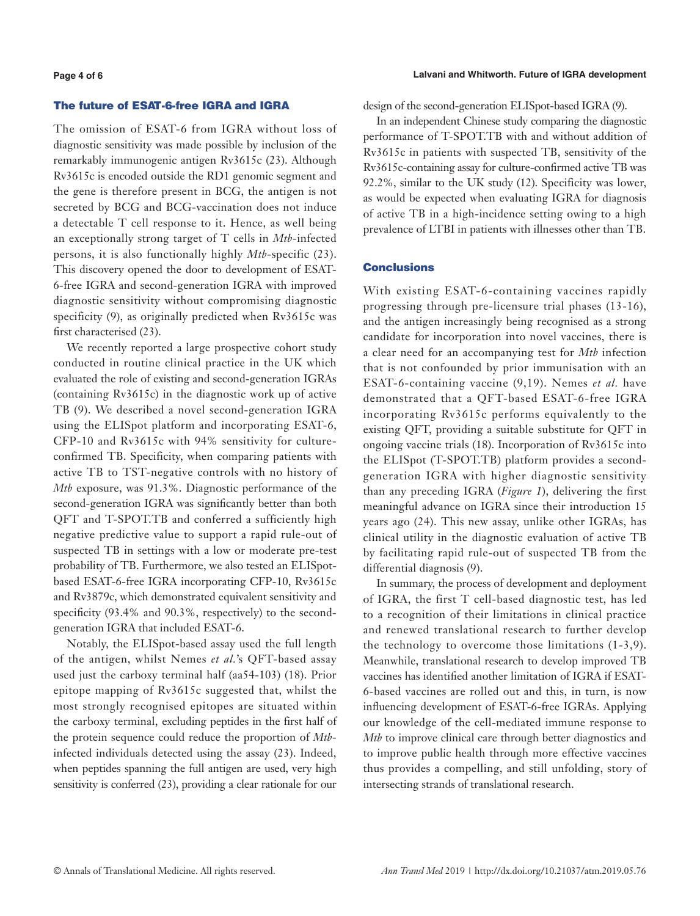#### **Lalvani and Whitworth. Future of IGRA development**

# The future of ESAT-6-free IGRA and IGRA

The omission of ESAT-6 from IGRA without loss of diagnostic sensitivity was made possible by inclusion of the remarkably immunogenic antigen Rv3615c (23). Although Rv3615c is encoded outside the RD1 genomic segment and the gene is therefore present in BCG, the antigen is not secreted by BCG and BCG-vaccination does not induce a detectable T cell response to it. Hence, as well being an exceptionally strong target of T cells in *Mtb*-infected persons, it is also functionally highly *Mtb*-specific (23). This discovery opened the door to development of ESAT-6-free IGRA and second-generation IGRA with improved diagnostic sensitivity without compromising diagnostic specificity (9), as originally predicted when Rv3615c was first characterised (23).

We recently reported a large prospective cohort study conducted in routine clinical practice in the UK which evaluated the role of existing and second-generation IGRAs (containing Rv3615c) in the diagnostic work up of active TB (9). We described a novel second-generation IGRA using the ELISpot platform and incorporating ESAT-6, CFP-10 and Rv3615c with 94% sensitivity for cultureconfirmed TB. Specificity, when comparing patients with active TB to TST-negative controls with no history of *Mtb* exposure, was 91.3%. Diagnostic performance of the second-generation IGRA was significantly better than both QFT and T-SPOT.TB and conferred a sufficiently high negative predictive value to support a rapid rule-out of suspected TB in settings with a low or moderate pre-test probability of TB. Furthermore, we also tested an ELISpotbased ESAT-6-free IGRA incorporating CFP-10, Rv3615c and Rv3879c, which demonstrated equivalent sensitivity and specificity (93.4% and 90.3%, respectively) to the secondgeneration IGRA that included ESAT-6.

Notably, the ELISpot-based assay used the full length of the antigen, whilst Nemes *et al.*'s QFT-based assay used just the carboxy terminal half (aa54-103) (18). Prior epitope mapping of Rv3615c suggested that, whilst the most strongly recognised epitopes are situated within the carboxy terminal, excluding peptides in the first half of the protein sequence could reduce the proportion of *Mtb*infected individuals detected using the assay (23). Indeed, when peptides spanning the full antigen are used, very high sensitivity is conferred (23), providing a clear rationale for our design of the second-generation ELISpot-based IGRA (9).

In an independent Chinese study comparing the diagnostic performance of T-SPOT.TB with and without addition of Rv3615c in patients with suspected TB, sensitivity of the Rv3615c-containing assay for culture-confirmed active TB was 92.2%, similar to the UK study (12). Specificity was lower, as would be expected when evaluating IGRA for diagnosis of active TB in a high-incidence setting owing to a high prevalence of LTBI in patients with illnesses other than TB.

#### **Conclusions**

With existing ESAT-6-containing vaccines rapidly progressing through pre-licensure trial phases (13-16), and the antigen increasingly being recognised as a strong candidate for incorporation into novel vaccines, there is a clear need for an accompanying test for *Mtb* infection that is not confounded by prior immunisation with an ESAT-6-containing vaccine (9,19). Nemes *et al.* have demonstrated that a QFT-based ESAT-6-free IGRA incorporating Rv3615c performs equivalently to the existing QFT, providing a suitable substitute for QFT in ongoing vaccine trials (18). Incorporation of Rv3615c into the ELISpot (T-SPOT.TB) platform provides a secondgeneration IGRA with higher diagnostic sensitivity than any preceding IGRA (*Figure 1*), delivering the first meaningful advance on IGRA since their introduction 15 years ago (24). This new assay, unlike other IGRAs, has clinical utility in the diagnostic evaluation of active TB by facilitating rapid rule-out of suspected TB from the differential diagnosis (9).

In summary, the process of development and deployment of IGRA, the first T cell-based diagnostic test, has led to a recognition of their limitations in clinical practice and renewed translational research to further develop the technology to overcome those limitations (1-3,9). Meanwhile, translational research to develop improved TB vaccines has identified another limitation of IGRA if ESAT-6-based vaccines are rolled out and this, in turn, is now influencing development of ESAT-6-free IGRAs. Applying our knowledge of the cell-mediated immune response to *Mtb* to improve clinical care through better diagnostics and to improve public health through more effective vaccines thus provides a compelling, and still unfolding, story of intersecting strands of translational research.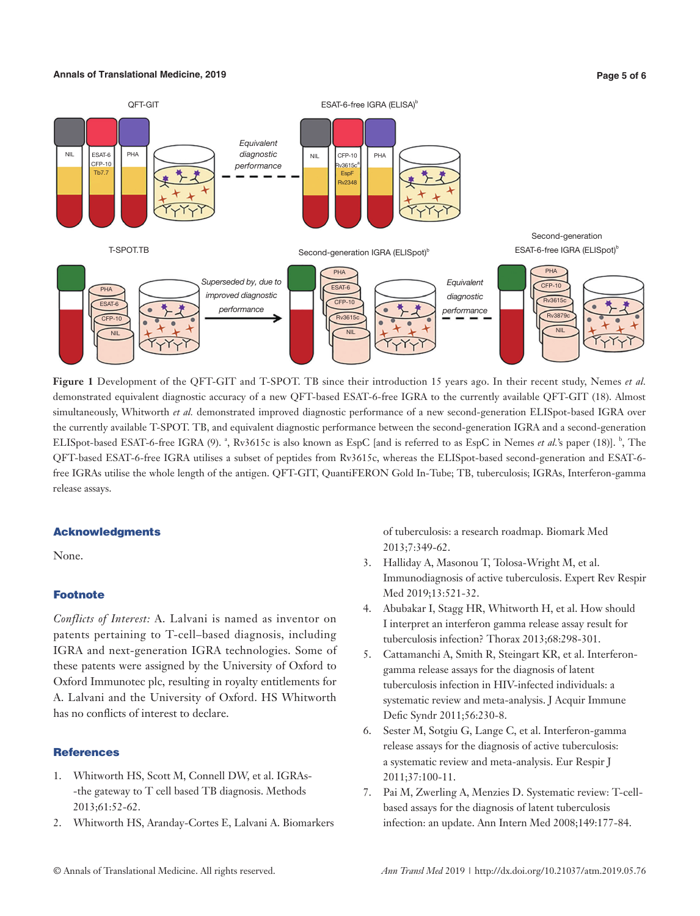#### **Annals of Translational Medicine, 2019 Page 5 of 6**



**Figure 1** Development of the QFT-GIT and T-SPOT. TB since their introduction 15 years ago. In their recent study, Nemes *et al.* demonstrated equivalent diagnostic accuracy of a new QFT-based ESAT-6-free IGRA to the currently available QFT-GIT (18). Almost simultaneously, Whitworth *et al.* demonstrated improved diagnostic performance of a new second-generation ELISpot-based IGRA over the currently available T-SPOT. TB, and equivalent diagnostic performance between the second-generation IGRA and a second-generation ELISpot-based ESAT-6-free IGRA (9).<sup>8</sup>, Rv3615c is also known as EspC [and is referred to as EspC in Nemes *et al.*'s paper (18)].<sup>b</sup>, The QFT-based ESAT-6-free IGRA utilises a subset of peptides from Rv3615c, whereas the ELISpot-based second-generation and ESAT-6 free IGRAs utilise the whole length of the antigen. QFT-GIT, QuantiFERON Gold In-Tube; TB, tuberculosis; IGRAs, Interferon-gamma release assays.

# Acknowledgments

None.

# Footnote

*Conflicts of Interest:* A. Lalvani is named as inventor on patents pertaining to T-cell–based diagnosis, including IGRA and next-generation IGRA technologies. Some of these patents were assigned by the University of Oxford to Oxford Immunotec plc, resulting in royalty entitlements for A. Lalvani and the University of Oxford. HS Whitworth has no conflicts of interest to declare.

# **References**

- 1. Whitworth HS, Scott M, Connell DW, et al. IGRAs- -the gateway to T cell based TB diagnosis. Methods 2013;61:52-62.
- 2. Whitworth HS, Aranday-Cortes E, Lalvani A. Biomarkers

of tuberculosis: a research roadmap. Biomark Med 2013;7:349-62.

- 3. Halliday A, Masonou T, Tolosa-Wright M, et al. Immunodiagnosis of active tuberculosis. Expert Rev Respir Med 2019;13:521-32.
- 4. Abubakar I, Stagg HR, Whitworth H, et al. How should I interpret an interferon gamma release assay result for tuberculosis infection? Thorax 2013;68:298-301.
- 5. Cattamanchi A, Smith R, Steingart KR, et al. Interferongamma release assays for the diagnosis of latent tuberculosis infection in HIV-infected individuals: a systematic review and meta-analysis. J Acquir Immune Defic Syndr 2011;56:230-8.
- 6. Sester M, Sotgiu G, Lange C, et al. Interferon-gamma release assays for the diagnosis of active tuberculosis: a systematic review and meta-analysis. Eur Respir J 2011;37:100-11.
- 7. Pai M, Zwerling A, Menzies D. Systematic review: T-cellbased assays for the diagnosis of latent tuberculosis infection: an update. Ann Intern Med 2008;149:177-84.